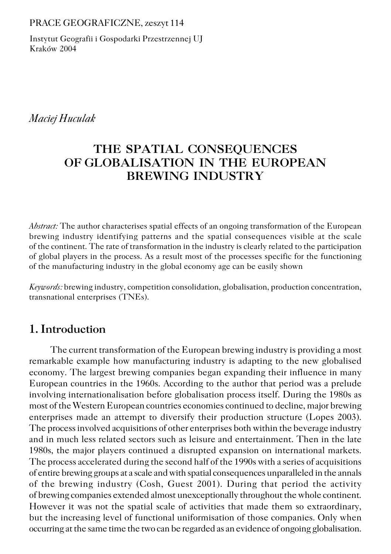#### PRACE GEOGRAFICZNE, zeszyt 114

Instytut Geografii i Gospodarki Przestrzennej UJ Kraków 2004

*Maciej Huculak*

# **THE SPATIAL CONSEQUENCES OF GLOBALISATION IN THE EUROPEAN BREWING INDUSTRY**

*Abstract:* The author characterises spatial effects of an ongoing transformation of the European brewing industry identifying patterns and the spatial consequences visible at the scale of the continent. The rate of transformation in the industry is clearly related to the participation of global players in the process. As a result most of the processes specific for the functioning of the manufacturing industry in the global economy age can be easily shown

*Keywords:* brewing industry, competition consolidation, globalisation, production concentration, transnational enterprises (TNEs).

# **1. Introduction**

The current transformation of the European brewing industry is providing a most remarkable example how manufacturing industry is adapting to the new globalised economy. The largest brewing companies began expanding their influence in many European countries in the 1960s. According to the author that period was a prelude involving internationalisation before globalisation process itself. During the 1980s as most of the Western European countries economies continued to decline, major brewing enterprises made an attempt to diversify their production structure (Lopes 2003). The process involved acquisitions of other enterprises both within the beverage industry and in much less related sectors such as leisure and entertainment. Then in the late 1980s, the major players continued a disrupted expansion on international markets. The process accelerated during the second half of the 1990s with a series of acquisitions of entire brewing groups at a scale and with spatial consequences unparalleled in the annals of the brewing industry (Cosh, Guest 2001). During that period the activity of brewing companies extended almost unexceptionally throughout the whole continent. However it was not the spatial scale of activities that made them so extraordinary, but the increasing level of functional uniformisation of those companies. Only when occurring at the same time the two can be regarded as an evidence of ongoing globalisation.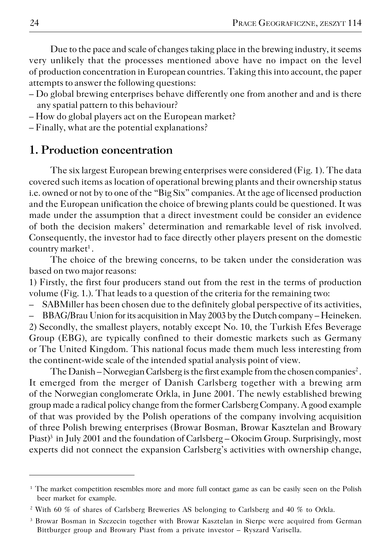Due to the pace and scale of changes taking place in the brewing industry, it seems very unlikely that the processes mentioned above have no impact on the level of production concentration in European countries. Taking this into account, the paper attempts to answer the following questions:

- Do global brewing enterprises behave differently one from another and and is there any spatial pattern to this behaviour?
- How do global players act on the European market?
- Finally, what are the potential explanations?

### **1. Production concentration**

The six largest European brewing enterprises were considered (Fig. 1). The data covered such items as location of operational brewing plants and their ownership status i.e. owned or not by to one of the "Big Six" companies. At the age of licensed production and the European unification the choice of brewing plants could be questioned. It was made under the assumption that a direct investment could be consider an evidence of both the decision makers' determination and remarkable level of risk involved. Consequently, the investor had to face directly other players present on the domestic country market<sup>1</sup>.

The choice of the brewing concerns, to be taken under the consideration was based on two major reasons:

1) Firstly, the first four producers stand out from the rest in the terms of production volume (Fig. 1.). That leads to a question of the criteria for the remaining two:

– SABMiller has been chosen due to the definitely global perspective of its activities,

– BBAG/Brau Union for its acquisition in May 2003 by the Dutch company – Heineken.

2) Secondly, the smallest players, notably except No. 10, the Turkish Efes Beverage Group (EBG), are typically confined to their domestic markets such as Germany or The United Kingdom. This national focus made them much less interesting from the continent−wide scale of the intended spatial analysis point of view.

The Danish – Norwegian Carlsberg is the first example from the chosen companies<sup>2</sup>. It emerged from the merger of Danish Carlsberg together with a brewing arm of the Norwegian conglomerate Orkla, in June 2001. The newly established brewing group made a radical policy change from the former Carlsberg Company. A good example of that was provided by the Polish operations of the company involving acquisition of three Polish brewing enterprises (Browar Bosman, Browar Kasztelan and Browary Piast)<sup>3</sup> in July 2001 and the foundation of Carlsberg – Okocim Group. Surprisingly, most experts did not connect the expansion Carlsberg's activities with ownership change,

<sup>&</sup>lt;sup>1</sup> The market competition resembles more and more full contact game as can be easily seen on the Polish beer market for example.

<sup>2</sup> With 60 % of shares of Carlsberg Breweries AS belonging to Carlsberg and 40 % to Orkla.

<sup>3</sup> Browar Bosman in Szczecin together with Browar Kasztelan in Sierpc were acquired from German Bittburger group and Browary Piast from a private investor – Ryszard Varisella.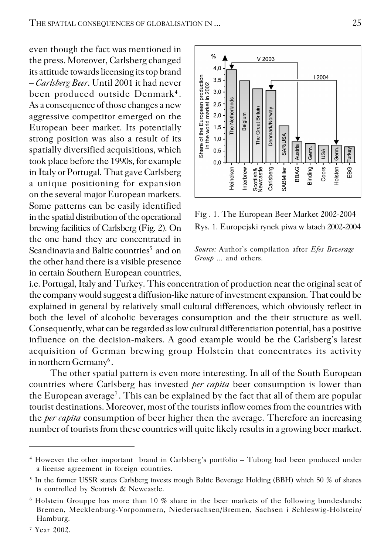even though the fact was mentioned in the press. Moreover, Carlsberg changed its attitude towards licensing its top brand – *Carlsberg Beer*. Until 2001 it had never been produced outside Denmark<sup>4</sup>. As a consequence of those changes a new aggressive competitor emerged on the European beer market. Its potentially strong position was also a result of its spatially diversified acquisitions, which took place before the 1990s, for example in Italy or Portugal. That gave Carlsberg a unique positioning for expansion on the several major European markets. Some patterns can be easily identified in the spatial distribution of the operational brewing facilities of Carlsberg (Fig. 2). On the one hand they are concentrated in  $\rm Scand$ inavia and  $\rm Baltic$  countries $^5$  and on the other hand there is a visible presence in certain Southern European countries,



Fig . 1. The European Beer Market 2002−2004 Rys. 1. Europejski rynek piwa w latach 2002−2004



i.e. Portugal, Italy and Turkey. This concentration of production near the original seat of the company would suggest a diffusion−like nature of investment expansion. That could be explained in general by relatively small cultural differences, which obviously reflect in both the level of alcoholic beverages consumption and the their structure as well. Consequently, what can be regarded as low cultural differentiation potential, has a positive influence on the decision−makers. A good example would be the Carlsberg's latest acquisition of German brewing group Holstein that concentrates its activity in northern Germany $^6$  .

The other spatial pattern is even more interesting. In all of the South European countries where Carlsberg has invested *per capita* beer consumption is lower than the European average<sup>7</sup>. This can be explained by the fact that all of them are popular tourist destinations. Moreover, most of the tourists inflow comes from the countries with the *per capita* consumption of beer higher then the average. Therefore an increasing number of tourists from these countries will quite likely results in a growing beer market.

<sup>4</sup> However the other important brand in Carlsberg's portfolio – Tuborg had been produced under a license agreement in foreign countries.

<sup>5</sup> In the former USSR states Carlsberg invests trough Baltic Beverage Holding (BBH) which 50 % of shares is controlled by Scottish & Newcastle.

<sup>6</sup> Holstein Grouppe has more than 10 % share in the beer markets of the following bundeslands: Bremen, Mecklenburg−Vorpommern, Niedersachsen/Bremen, Sachsen i Schleswig−Holstein/ Hamburg.

<sup>7</sup> Year 2002.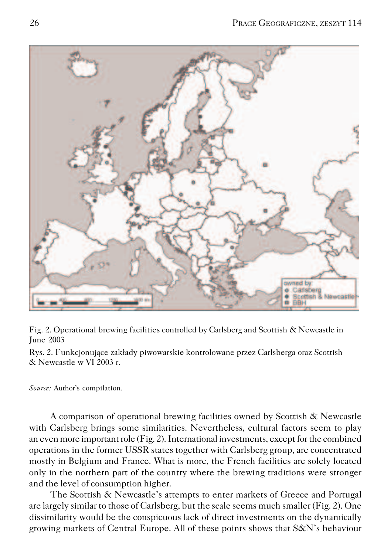

Fig. 2. Operational brewing facilities controlled by Carlsberg and Scottish & Newcastle in June 2003

Rys. 2. Funkcjonujące zakłady piwowarskie kontrolowane przez Carlsberga oraz Scottish & Newcastle w VI 2003 r.

*Source:* Author's compilation.

A comparison of operational brewing facilities owned by Scottish & Newcastle with Carlsberg brings some similarities. Nevertheless, cultural factors seem to play an even more important role (Fig. 2). International investments, except for the combined operations in the former USSR states together with Carlsberg group, are concentrated mostly in Belgium and France. What is more, the French facilities are solely located only in the northern part of the country where the brewing traditions were stronger and the level of consumption higher.

The Scottish & Newcastle's attempts to enter markets of Greece and Portugal are largely similar to those of Carlsberg, but the scale seems much smaller (Fig. 2). One dissimilarity would be the conspicuous lack of direct investments on the dynamically growing markets of Central Europe. All of these points shows that S&N's behaviour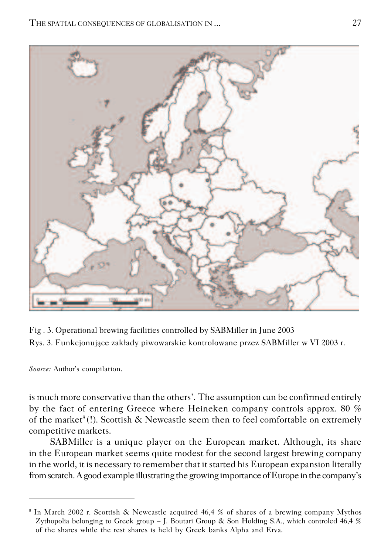

Fig . 3. Operational brewing facilities controlled by SABMiller in June 2003 Rys. 3. Funkcjonujące zakłady piwowarskie kontrolowane przez SABMiller w VI 2003 r.

*Source:* Author's compilation.

is much more conservative than the others'. The assumption can be confirmed entirely by the fact of entering Greece where Heineken company controls approx. 80 % of the market<sup>8</sup>(!). Scottish  $\&$  Newcastle seem then to feel comfortable on extremely competitive markets.

SABMiller is a unique player on the European market. Although, its share in the European market seems quite modest for the second largest brewing company in the world, it is necessary to remember that it started his European expansion literally from scratch. A good example illustrating the growing importance of Europe in the company's

<sup>8</sup> In March 2002 r. Scottish & Newcastle acquired 46,4 % of shares of a brewing company Mythos Zythopolia belonging to Greek group – J. Boutari Group & Son Holding S.A., which controled 46,4 % of the shares while the rest shares is held by Greek banks Alpha and Erva.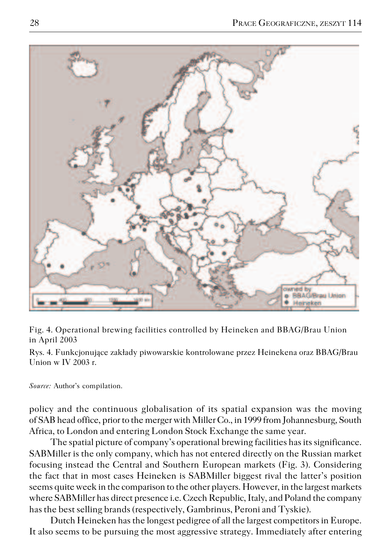

Fig. 4. Operational brewing facilities controlled by Heineken and BBAG/Brau Union in April 2003

Rys. 4. Funkcjonujące zakłady piwowarskie kontrolowane przez Heinekena oraz BBAG/Brau Union w IV 2003 r.

*Source:* Author's compilation.

policy and the continuous globalisation of its spatial expansion was the moving of SAB head office, prior to the merger with Miller Co., in 1999 from Johannesburg, South Africa, to London and entering London Stock Exchange the same year.

The spatial picture of company's operational brewing facilities has its significance. SABMiller is the only company, which has not entered directly on the Russian market focusing instead the Central and Southern European markets (Fig. 3). Considering the fact that in most cases Heineken is SABMiller biggest rival the latter's position seems quite week in the comparison to the other players. However, in the largest markets where SABMiller has direct presence i.e. Czech Republic, Italy, and Poland the company has the best selling brands (respectively, Gambrinus, Peroni and Tyskie).

Dutch Heineken has the longest pedigree of all the largest competitors in Europe. It also seems to be pursuing the most aggressive strategy. Immediately after entering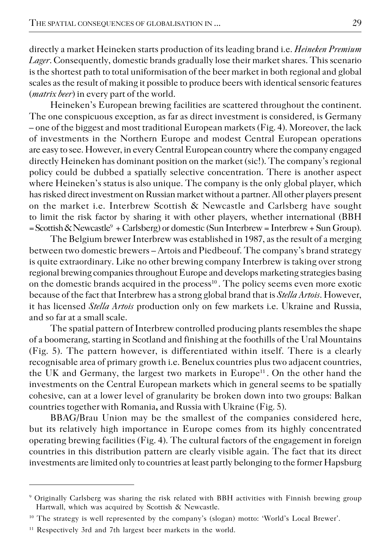directly a market Heineken starts production of its leading brand i.e. *Heineken Premium Lager*. Consequently, domestic brands gradually lose their market shares. This scenario is the shortest path to total uniformisation of the beer market in both regional and global scales as the result of making it possible to produce beers with identical sensoric features (*matrix beer*) in every part of the world.

Heineken's European brewing facilities are scattered throughout the continent. The one conspicuous exception, as far as direct investment is considered, is Germany – one of the biggest and most traditional European markets (Fig. 4). Moreover, the lack of investments in the Northern Europe and modest Central European operations are easy to see. However, in every Central European country where the company engaged directly Heineken has dominant position on the market (sic!). The company's regional policy could be dubbed a spatially selective concentration. There is another aspect where Heineken's status is also unique. The company is the only global player, which has risked direct investment on Russian market without a partner. All other players present on the market i.e. Interbrew Scottish & Newcastle and Carlsberg have sought to limit the risk factor by sharing it with other players, whether international (BBH = Scottish & Newcastle<sup>9</sup> + Carlsberg) or domestic (Sun Interbrew = Interbrew + Sun Group).

The Belgium brewer Interbrew was established in 1987, as the result of a merging between two domestic brewers – Artois and Piedbeouf. The company's brand strategy is quite extraordinary. Like no other brewing company Interbrew is taking over strong regional brewing companies throughout Europe and develops marketing strategies basing on the domestic brands acquired in the process<sup>10</sup>. The policy seems even more exotic because of the fact that Interbrew has a strong global brand that is *Stella Artois*. However, it has licensed *Stella Artois* production only on few markets i.e. Ukraine and Russia, and so far at a small scale.

The spatial pattern of Interbrew controlled producing plants resembles the shape of a boomerang, starting in Scotland and finishing at the foothills of the Ural Mountains (Fig. 5). The pattern however, is differentiated within itself. There is a clearly recognisable area of primary growth i.e. Benelux countries plus two adjacent countries, the UK and Germany, the largest two markets in Europe<sup>11</sup>. On the other hand the investments on the Central European markets which in general seems to be spatially cohesive, can at a lower level of granularity be broken down into two groups: Balkan countries together with Romania**,** and Russia with Ukraine (Fig. 5).

BBAG/Brau Union may be the smallest of the companies considered here, but its relatively high importance in Europe comes from its highly concentrated operating brewing facilities (Fig. 4). The cultural factors of the engagement in foreign countries in this distribution pattern are clearly visible again. The fact that its direct investments are limited only to countries at least partly belonging to the former Hapsburg

<sup>9</sup> Originally Carlsberg was sharing the risk related with BBH activities with Finnish brewing group Hartwall, which was acquired by Scottish & Newcastle.

<sup>10</sup> The strategy is well represented by the company's (slogan) motto: 'World's Local Brewer'.

<sup>&</sup>lt;sup>11</sup> Respectively 3rd and 7th largest beer markets in the world.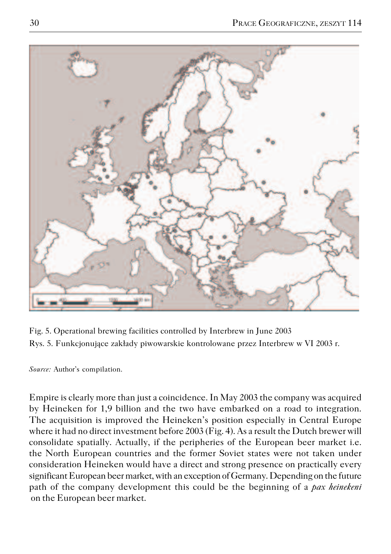

Fig. 5. Operational brewing facilities controlled by Interbrew in June 2003 Rys. 5. Funkcjonujące zakłady piwowarskie kontrolowane przez Interbrew w VI 2003 r.

*Source:* Author's compilation.

Empire is clearly more than just a coincidence. In May 2003 the company was acquired by Heineken for 1,9 billion and the two have embarked on a road to integration. The acquisition is improved the Heineken's position especially in Central Europe where it had no direct investment before 2003 (Fig. 4). As a result the Dutch brewer will consolidate spatially. Actually, if the peripheries of the European beer market i.e. the North European countries and the former Soviet states were not taken under consideration Heineken would have a direct and strong presence on practically every significant European beer market, with an exception of Germany. Depending on the future path of the company development this could be the beginning of a *pax heinekeni* on the European beer market.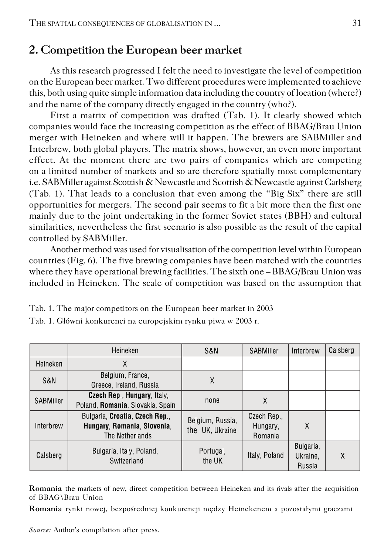### **2. Competition the European beer market**

As this research progressed I felt the need to investigate the level of competition on the European beer market. Two different procedures were implemented to achieve this, both using quite simple information data including the country of location (where?) and the name of the company directly engaged in the country (who?).

First a matrix of competition was drafted (Tab. 1). It clearly showed which companies would face the increasing competition as the effect of BBAG/Brau Union merger with Heineken and where will it happen. The brewers are SABMiller and Interbrew, both global players. The matrix shows, however, an even more important effect. At the moment there are two pairs of companies which are competing on a limited number of markets and so are therefore spatially most complementary i.e. SABMiller against Scottish & Newcastle and Scottish & Newcastle against Carlsberg (Tab. 1). That leads to a conclusion that even among the "Big Six" there are still opportunities for mergers. The second pair seems to fit a bit more then the first one mainly due to the joint undertaking in the former Soviet states (BBH) and cultural similarities, nevertheless the first scenario is also possible as the result of the capital controlled by SABMiller.

Another method was used for visualisation of the competition level within European countries (Fig. 6). The five brewing companies have been matched with the countries where they have operational brewing facilities. The sixth one – BBAG/Brau Union was included in Heineken. The scale of competition was based on the assumption that

|                  | Heineken                                                                         | S&N                                 | SABMiller                          | Interbrew                       | Calsberg |
|------------------|----------------------------------------------------------------------------------|-------------------------------------|------------------------------------|---------------------------------|----------|
| Heineken         | Χ                                                                                |                                     |                                    |                                 |          |
| S&N              | Belgium, France,<br>Greece, Ireland, Russia                                      | Χ                                   |                                    |                                 |          |
| <b>SABMiller</b> | <b>Czech Rep., Hungary, Italy,</b><br>Poland, Romania, Slovakia, Spain           | none                                | Χ                                  |                                 |          |
| Interbrew        | Bulgaria, Croatia, Czech Rep.,<br>Hungary, Romania, Slovenia,<br>The Netherlands | Belgium, Russia,<br>the UK, Ukraine | Czech Rep.,<br>Hungary,<br>Romania | χ                               |          |
| Calsberg         | Bulgaria, Italy, Poland,<br>Switzerland                                          | Portugal,<br>the UK                 | Italy, Poland                      | Bulgaria,<br>Ukraine.<br>Russia | Χ        |

Tab. 1. The major competitors on the European beer market in 2003

Tab. 1. Główni konkurenci na europejskim rynku piwa w 2003 r.

**Romania** the markets of new, direct competition between Heineken and its rivals after the acquisition of BBAG\Brau Union

**Romania** rynki nowej, bezpośredniej konkurencji mędzy Heinekenem a pozostałymi graczami

*Source:* Author's compilation after press.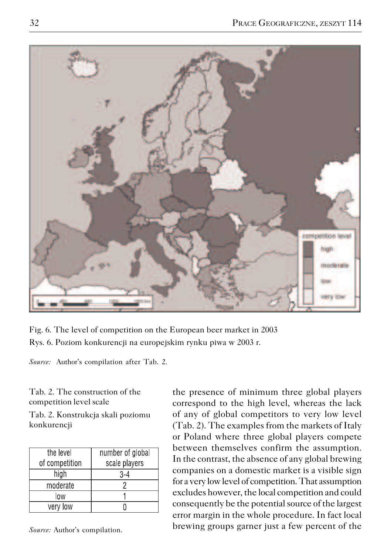

Fig. 6. The level of competition on the European beer market in 2003 Rys. 6. Poziom konkurencji na europejskim rynku piwa w 2003 r.

*Source:* Author's compilation after Tab. 2.

Tab. 2. The construction of the competition level scale

Tab. 2. Konstrukcja skali poziomu konkurencji

| the level      | number of global |  |  |
|----------------|------------------|--|--|
| of competition | scale players    |  |  |
| high           | 3-4              |  |  |
| moderate       |                  |  |  |
| low            |                  |  |  |
| very low       |                  |  |  |

*Source:* Author's compilation.

the presence of minimum three global players correspond to the high level, whereas the lack of any of global competitors to very low level (Tab. 2). The examples from the markets of Italy or Poland where three global players compete between themselves confirm the assumption. In the contrast, the absence of any global brewing companies on a domestic market is a visible sign for a very low level of competition. That assumption excludes however, the local competition and could consequently be the potential source of the largest error margin in the whole procedure. In fact local brewing groups garner just a few percent of the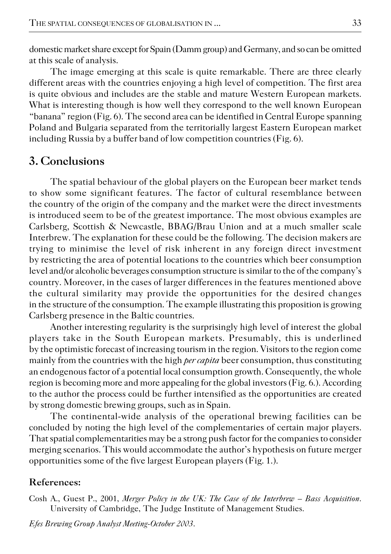domestic market share except for Spain (Damm group) and Germany, and so can be omitted at this scale of analysis.

The image emerging at this scale is quite remarkable. There are three clearly different areas with the countries enjoying a high level of competition. The first area is quite obvious and includes are the stable and mature Western European markets. What is interesting though is how well they correspond to the well known European "banana" region (Fig. 6). The second area can be identified in Central Europe spanning Poland and Bulgaria separated from the territorially largest Eastern European market including Russia by a buffer band of low competition countries (Fig. 6).

### **3. Conclusions**

The spatial behaviour of the global players on the European beer market tends to show some significant features. The factor of cultural resemblance between the country of the origin of the company and the market were the direct investments is introduced seem to be of the greatest importance. The most obvious examples are Carlsberg, Scottish & Newcastle, BBAG/Brau Union and at a much smaller scale Interbrew. The explanation for these could be the following. The decision makers are trying to minimise the level of risk inherent in any foreign direct investment by restricting the area of potential locations to the countries which beer consumption level and/or alcoholic beverages consumption structure is similar to the of the company's country. Moreover, in the cases of larger differences in the features mentioned above the cultural similarity may provide the opportunities for the desired changes in the structure of the consumption. The example illustrating this proposition is growing Carlsberg presence in the Baltic countries.

Another interesting regularity is the surprisingly high level of interest the global players take in the South European markets. Presumably, this is underlined by the optimistic forecast of increasing tourism in the region. Visitors to the region come mainly from the countries with the high *per capita* beer consumption, thus constituting an endogenous factor of a potential local consumption growth. Consequently, the whole region is becoming more and more appealing for the global investors (Fig. 6.). According to the author the process could be further intensified as the opportunities are created by strong domestic brewing groups, such as in Spain.

The continental−wide analysis of the operational brewing facilities can be concluded by noting the high level of the complementaries of certain major players. That spatial complementarities may be a strong push factor for the companies to consider merging scenarios. This would accommodate the author's hypothesis on future merger opportunities some of the five largest European players (Fig. 1.).

#### **References:**

Cosh A., Guest P., 2001, *Merger Policy in the UK: The Case of the Interbrew – Bass Acquisition*. University of Cambridge, The Judge Institute of Management Studies.

*Efes Brewing Group Analyst Meeting−October 2003*.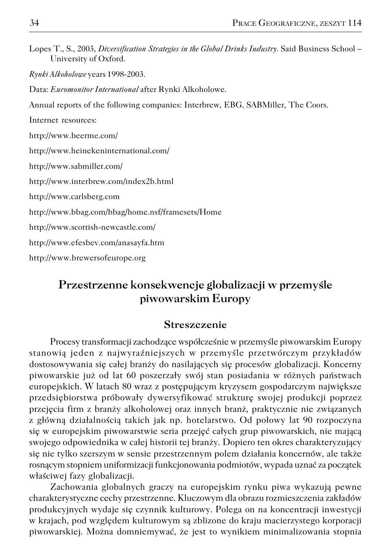| Lopes T., S., 2003, Diversification Strategies in the Global Drinks Industry. Said Business School - |  |  |  |
|------------------------------------------------------------------------------------------------------|--|--|--|
| University of Oxford.                                                                                |  |  |  |

*Rynki Alkoholowe* years 1998−2003.

Data: *Euromonitor International* after Rynki Alkoholowe.

Annual reports of the following companies: Interbrew, EBG, SABMiller, The Coors.

Internet resources:

http://www.beerme.com/

http://www.heinekeninternational.com/

http://www.sabmiller.com/

http://www.interbrew.com/index2b.html

http://www.carlsberg.com

http://www.bbag.com/bbag/home.nsf/framesets/Home

http://www.scottish−newcastle.com/

http://www.efesbev.com/anasayfa.htm

http://www.brewersofeurope.org

# **Przestrzenne konsekwencje globalizacji w przemyśle piwowarskim Europy**

#### **Streszczenie**

Procesy transformacji zachodzące współcześnie w przemyśle piwowarskim Europy stanowią jeden z najwyraźniejszych w przemyśle przetwórczym przykładów dostosowywania się całej branży do nasilających się procesów globalizacji. Koncerny piwowarskie już od lat 60 poszerzały swój stan posiadania w różnych państwach europejskich. W latach 80 wraz z postępującym kryzysem gospodarczym największe przedsiębiorstwa próbowały dywersyfikować strukturę swojej produkcji poprzez przejęcia firm z branży alkoholowej oraz innych branż, praktycznie nie związanych z główną działalnością takich jak np. hotelarstwo. Od połowy lat 90 rozpoczyna się w europejskim piwowarstwie seria przejęć całych grup piwowarskich, nie mającą swojego odpowiednika w całej historii tej branży. Dopiero ten okres charakteryzujący się nie tylko szerszym w sensie przestrzennym polem działania koncernów, ale także rosnącym stopniem uniformizacji funkcjonowania podmiotów, wypada uznać za początek właściwej fazy globalizacji.

Zachowania globalnych graczy na europejskim rynku piwa wykazują pewne charakterystyczne cechy przestrzenne. Kluczowym dla obrazu rozmieszczenia zakładów produkcyjnych wydaje się czynnik kulturowy. Polega on na koncentracji inwestycji w krajach, pod względem kulturowym są zblizone do kraju macierzystego korporacji piwowarskiej. Można domniemywać, że jest to wynikiem minimalizowania stopnia